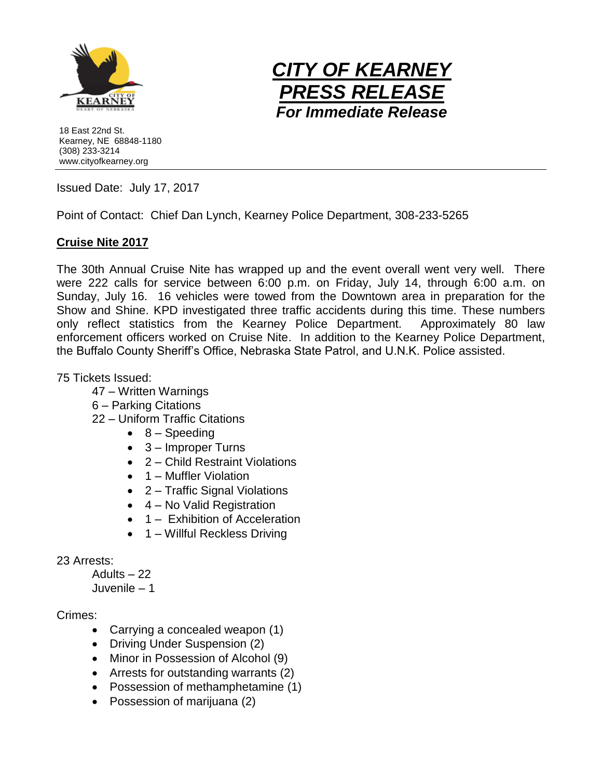



18 East 22nd St. Kearney, NE 68848-1180 (308) 233-3214 www.cityofkearney.org

Issued Date: July 17, 2017

Point of Contact: Chief Dan Lynch, Kearney Police Department, 308-233-5265

## **Cruise Nite 2017**

The 30th Annual Cruise Nite has wrapped up and the event overall went very well. There were 222 calls for service between 6:00 p.m. on Friday, July 14, through 6:00 a.m. on Sunday, July 16. 16 vehicles were towed from the Downtown area in preparation for the Show and Shine. KPD investigated three traffic accidents during this time. These numbers only reflect statistics from the Kearney Police Department. Approximately 80 law enforcement officers worked on Cruise Nite. In addition to the Kearney Police Department, the Buffalo County Sheriff's Office, Nebraska State Patrol, and U.N.K. Police assisted.

75 Tickets Issued:

- 47 Written Warnings
- 6 Parking Citations
- 22 Uniform Traffic Citations
	- $\bullet$  8 Speeding
	- 3 Improper Turns
	- 2 Child Restraint Violations
	- 1 Muffler Violation
	- 2 Traffic Signal Violations
	- 4 No Valid Registration
	- 1 Exhibition of Acceleration
	- 1 Willful Reckless Driving

## 23 Arrests:

Adults – 22

Juvenile – 1

## Crimes:

- Carrying a concealed weapon (1)
- Driving Under Suspension (2)
- Minor in Possession of Alcohol (9)
- Arrests for outstanding warrants (2)
- Possession of methamphetamine (1)
- Possession of marijuana (2)